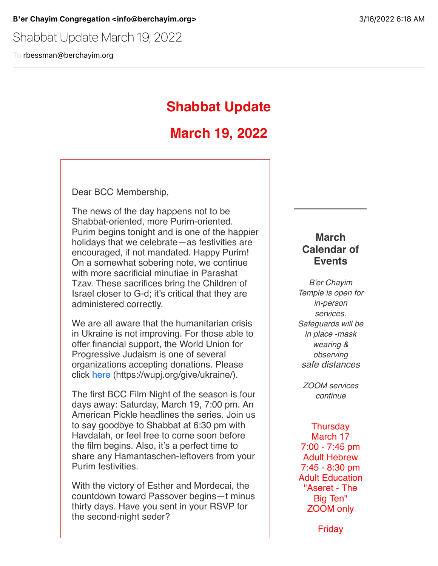Shabbat Update March 19, 2022

To rbessman@berchayim.org

## **Shabbat Update**

## **March 19, 2022**

Dear BCC Membership,

The news of the day happens not to be Shabbat-oriented, more Purim-oriented. Purim begins tonight and is one of the happier holidays that we celebrate—as festivities are encouraged, if not mandated. Happy Purim! On a somewhat sobering note, we continue with more sacrificial minutiae in Parashat Tzav. These sacrifices bring the Children of Israel closer to G-d; it's critical that they are administered correctly.

We are all aware that the humanitarian crisis in Ukraine is not improving. For those able to offer financial support, the World Union for Progressive Judaism is one of several organizations accepting donations. Please click [here](https://click.icptrack.com/icp/relay.php?r=119985007&msgid=899719&act=4970&c=592337&destination=https%3A%2F%2Fwupj.org%2Fgive%2Fukraine%2F&cf=5618&v=4dfda6efaa04bf91e6f0f54c85181bfef1ac27aeeeb2db0f51069a2734eea4c8) (https://wupj.org/give/ukraine/).

The first BCC Film Night of the season is four days away: Saturday, March 19, 7:00 pm. An American Pickle headlines the series. Join us to say goodbye to Shabbat at 6:30 pm with Havdalah, or feel free to come soon before the film begins. Also, it's a perfect time to share any Hamantaschen-leftovers from your Purim festivities.

With the victory of Esther and Mordecai, the countdown toward Passover begins—t minus thirty days. Have you sent in your RSVP for the second-night seder?

## **March Calendar of Events**

*B'er Chayim Temple is open for in-person services. Safeguards will be in place -mask wearing & observing safe distances*

*ZOOM services continue*

**Thursday** March 17 7:00 - 7:45 pm Adult Hebrew 7:45 - 8:30 pm Adult Education "Aseret - The Big Ten" ZOOM only

Friday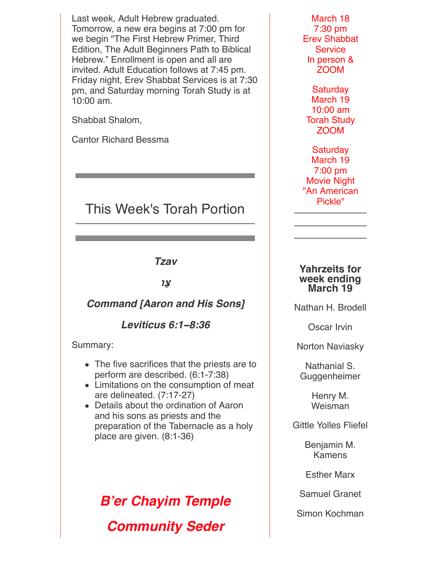Last week, Adult Hebrew graduated. Tomorrow, a new era begins at 7:00 pm for we begin "The First Hebrew Primer, Third Edition, The Adult Beginners Path to Biblical Hebrew." Enrollment is open and all are invited. Adult Education follows at 7:45 pm. Friday night, Erev Shabbat Services is at 7:30 pm, and Saturday morning Torah Study is at 10:00 am.

Shabbat Shalom,

Cantor Richard Bessma

## This Week's Torah Portion

*Tzav*

**צַו**

### *Command [Aaron and His Sons]*

*Leviticus 6:1***−***8:36*

Summary:

- The five sacrifices that the priests are to perform are described. (6:1-7:38)
- Limitations on the consumption of meat are delineated. (7:17-27)
- Details about the ordination of Aaron and his sons as priests and the preparation of the Tabernacle as a holy place are given. (8:1-36)

# *B'er Chayim Temple Community Seder*

March 18 7:30 pm Erev Shabbat **Service** In person & ZOOM

**Saturday** March 19 10:00 am Torah Study ZOOM

Saturday March 19 7:00 pm Movie Night "An American Pickle"

#### **Yahrzeits for week ending March 19**

Nathan H. Brodell

Oscar Irvin

Norton Naviasky

Nathanial S. Guggenheimer

> Henry M. Weisman

Gittle Yolles Fliefel

Benjamin M. Kamens

Esther Marx

Samuel Granet

Simon Kochman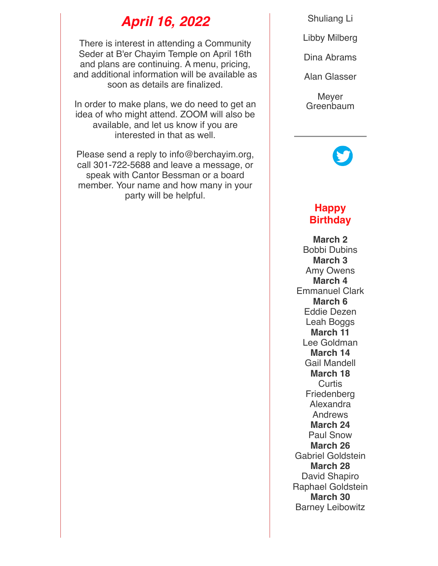## *April 16, 2022*

There is interest in attending a Community Seder at B'er Chayim Temple on April 16th and plans are continuing. A menu, pricing, and additional information will be available as soon as details are finalized.

In order to make plans, we do need to get an idea of who might attend. ZOOM will also be available, and let us know if you are interested in that as well.

Please send a reply to info@berchayim.org, call 301-722-5688 and leave a message, or speak with Cantor Bessman or a board member. Your name and how many in your party will be helpful.

Shuliang Li

Libby Milberg

Dina Abrams

Alan Glasser

**Mever** Greenbaum

## **Happy Birthday**

**March 2** Bobbi Dubins **March 3** Amy Owens **March 4** Emmanuel Clark **March 6** Eddie Dezen Leah Boggs **March 11** Lee Goldman **March 14** Gail Mandell **March 18 Curtis** Friedenberg Alexandra Andrews **March 24** Paul Snow **March 26** Gabriel Goldstein **March 28** David Shapiro Raphael Goldstein **March 30** Barney Leibowitz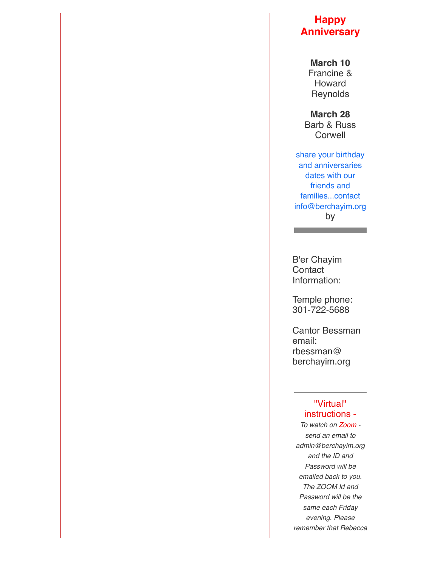## **Happy Anniversary**

**March 10** Francine & Howard **Reynolds** 

**March 28** Barb & Russ **Corwell** 

share your birthday and anniversaries dates with our friends and families...contact info@berchayim.org by

B'er Chayim **Contact** Information:

Temple phone: 301-722-5688

Cantor Bessman email: rbessman@ berchayim.org

#### "Virtual" instructions -

*To watch on Zoom send an email to admin@berchayim.org and the ID and Password will be emailed back to you. The ZOOM Id and Password will be the same each Friday evening. Please remember that Rebecca*